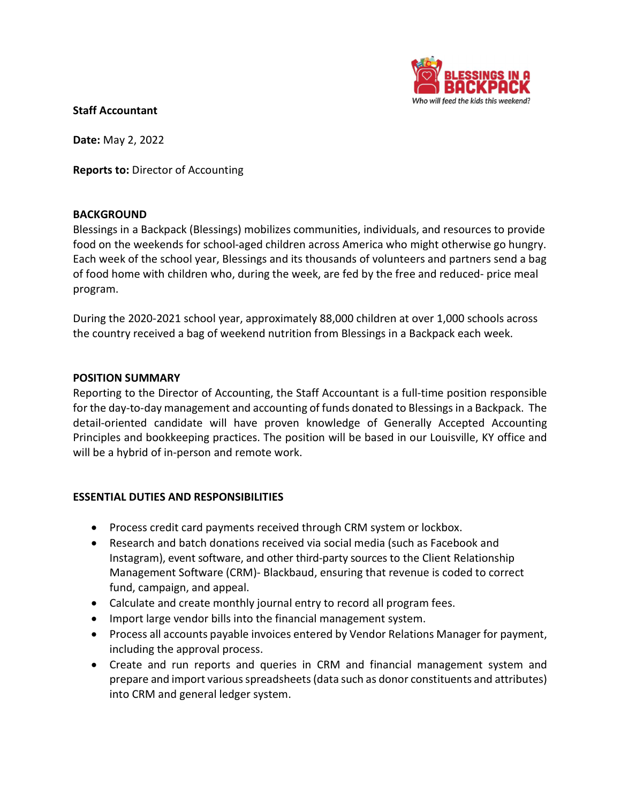

### Staff Accountant

Date: May 2, 2022

Reports to: Director of Accounting

#### **BACKGROUND**

Blessings in a Backpack (Blessings) mobilizes communities, individuals, and resources to provide food on the weekends for school-aged children across America who might otherwise go hungry. Each week of the school year, Blessings and its thousands of volunteers and partners send a bag of food home with children who, during the week, are fed by the free and reduced- price meal program.

During the 2020-2021 school year, approximately 88,000 children at over 1,000 schools across the country received a bag of weekend nutrition from Blessings in a Backpack each week.

#### POSITION SUMMARY

Reporting to the Director of Accounting, the Staff Accountant is a full-time position responsible for the day-to-day management and accounting of funds donated to Blessings in a Backpack. The detail-oriented candidate will have proven knowledge of Generally Accepted Accounting Principles and bookkeeping practices. The position will be based in our Louisville, KY office and will be a hybrid of in-person and remote work.

### ESSENTIAL DUTIES AND RESPONSIBILITIES

- Process credit card payments received through CRM system or lockbox.
- Research and batch donations received via social media (such as Facebook and Instagram), event software, and other third-party sources to the Client Relationship Management Software (CRM)- Blackbaud, ensuring that revenue is coded to correct fund, campaign, and appeal.
- Calculate and create monthly journal entry to record all program fees.
- Import large vendor bills into the financial management system.
- Process all accounts payable invoices entered by Vendor Relations Manager for payment, including the approval process.
- Create and run reports and queries in CRM and financial management system and prepare and import various spreadsheets (data such as donor constituents and attributes) into CRM and general ledger system.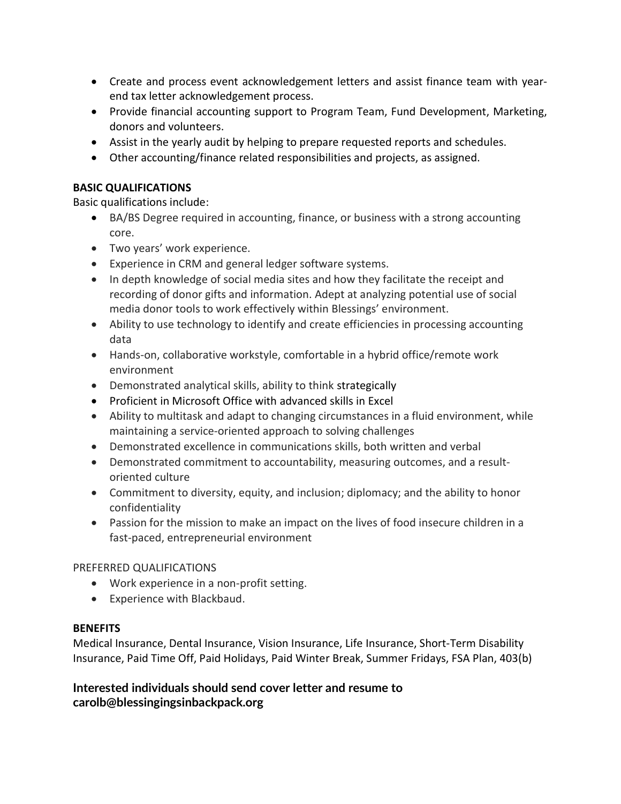- Create and process event acknowledgement letters and assist finance team with yearend tax letter acknowledgement process.
- Provide financial accounting support to Program Team, Fund Development, Marketing, donors and volunteers.
- Assist in the yearly audit by helping to prepare requested reports and schedules.
- Other accounting/finance related responsibilities and projects, as assigned.

## BASIC QUALIFICATIONS

Basic qualifications include:

- BA/BS Degree required in accounting, finance, or business with a strong accounting core.
- Two years' work experience.
- Experience in CRM and general ledger software systems.
- In depth knowledge of social media sites and how they facilitate the receipt and recording of donor gifts and information. Adept at analyzing potential use of social media donor tools to work effectively within Blessings' environment.
- Ability to use technology to identify and create efficiencies in processing accounting data
- Hands-on, collaborative workstyle, comfortable in a hybrid office/remote work environment
- Demonstrated analytical skills, ability to think strategically
- Proficient in Microsoft Office with advanced skills in Excel
- Ability to multitask and adapt to changing circumstances in a fluid environment, while maintaining a service-oriented approach to solving challenges
- Demonstrated excellence in communications skills, both written and verbal
- Demonstrated commitment to accountability, measuring outcomes, and a resultoriented culture
- Commitment to diversity, equity, and inclusion; diplomacy; and the ability to honor confidentiality
- Passion for the mission to make an impact on the lives of food insecure children in a fast-paced, entrepreneurial environment

# PREFERRED QUALIFICATIONS

- Work experience in a non-profit setting.
- Experience with Blackbaud.

# **BENEFITS**

Medical Insurance, Dental Insurance, Vision Insurance, Life Insurance, Short-Term Disability Insurance, Paid Time Off, Paid Holidays, Paid Winter Break, Summer Fridays, FSA Plan, 403(b)

Interested individuals should send cover letter and resume to carolb@blessingingsinbackpack.org